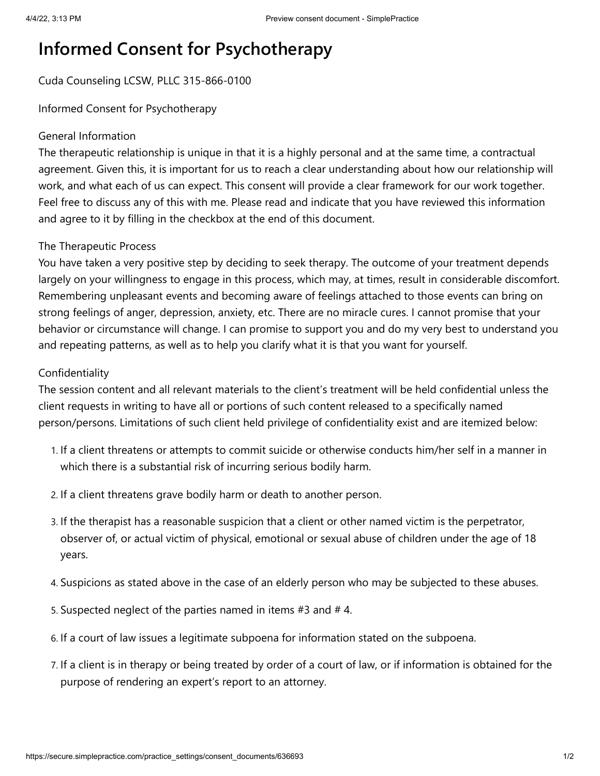# **Informed Consent for Psychotherapy**

## Cuda Counseling LCSW, PLLC 315-866-0100

Informed Consent for Psychotherapy

### General Information

The therapeutic relationship is unique in that it is a highly personal and at the same time, a contractual agreement. Given this, it is important for us to reach a clear understanding about how our relationship will work, and what each of us can expect. This consent will provide a clear framework for our work together. Feel free to discuss any of this with me. Please read and indicate that you have reviewed this information and agree to it by filling in the checkbox at the end of this document.

### The Therapeutic Process

You have taken a very positive step by deciding to seek therapy. The outcome of your treatment depends largely on your willingness to engage in this process, which may, at times, result in considerable discomfort. Remembering unpleasant events and becoming aware of feelings attached to those events can bring on strong feelings of anger, depression, anxiety, etc. There are no miracle cures. I cannot promise that your behavior or circumstance will change. I can promise to support you and do my very best to understand you and repeating patterns, as well as to help you clarify what it is that you want for yourself.

### Confidentiality

The session content and all relevant materials to the client's treatment will be held confidential unless the client requests in writing to have all or portions of such content released to a specifically named person/persons. Limitations of such client held privilege of confidentiality exist and are itemized below:

- 1. If a client threatens or attempts to commit suicide or otherwise conducts him/her self in a manner in which there is a substantial risk of incurring serious bodily harm.
- 2. If a client threatens grave bodily harm or death to another person.
- 3. If the therapist has a reasonable suspicion that a client or other named victim is the perpetrator, observer of, or actual victim of physical, emotional or sexual abuse of children under the age of 18 years.
- 4. Suspicions as stated above in the case of an elderly person who may be subjected to these abuses.
- 5. Suspected neglect of the parties named in items #3 and # 4.
- 6. If a court of law issues a legitimate subpoena for information stated on the subpoena.
- 7. If a client is in therapy or being treated by order of a court of law, or if information is obtained for the purpose of rendering an expert's report to an attorney.